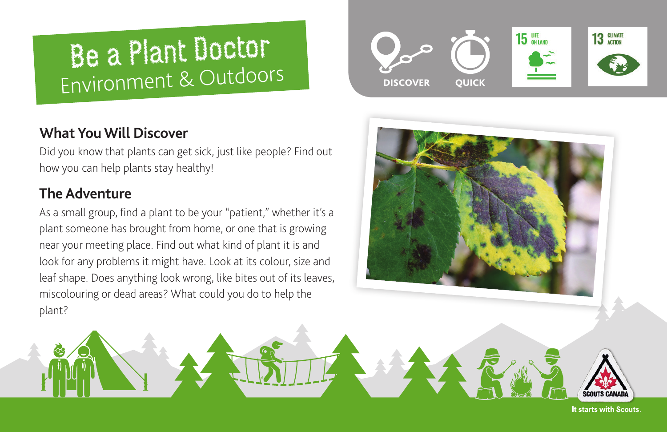# **Be a Plant Doctor** Environment & Outdoors

# **What You Will Discover**

Did you know that plants can get sick, just like people? Find out how you can help plants stay healthy!

# **The Adventure**

As a small group, find a plant to be your "patient," whether it's a plant someone has brought from home, or one that is growing near your meeting place. Find out what kind of plant it is and look for any problems it might have. Look at its colour, size and leaf shape. Does anything look wrong, like bites out of its leaves, miscolouring or dead areas? What could you do to help the plant?







It starts with Scouts.